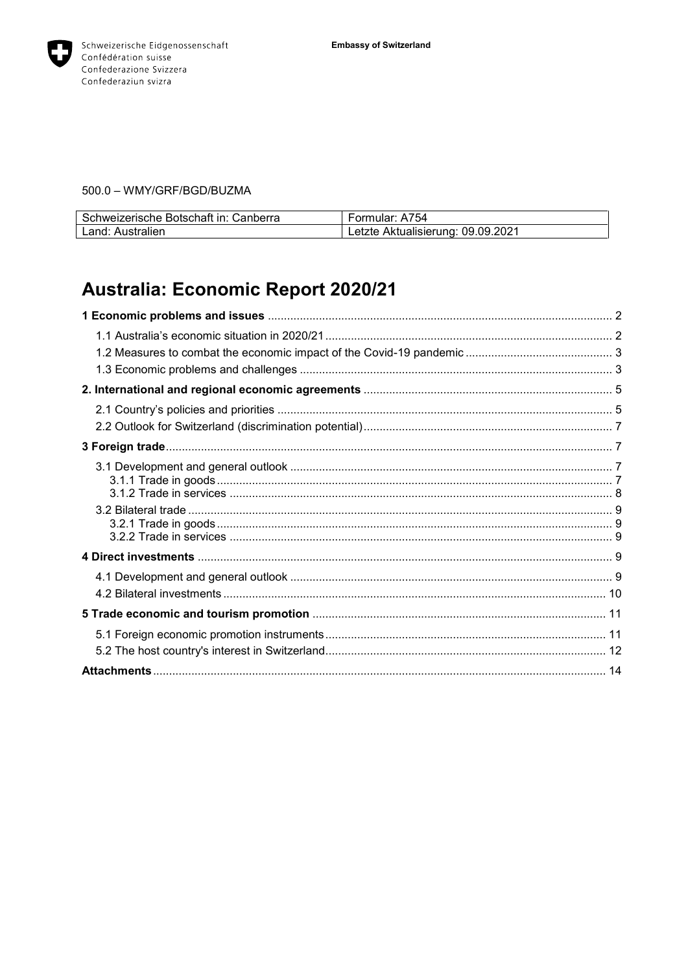

# 500.0 - WMY/GRF/BGD/BUZMA

| Schweizerische Botschaft in: Canberra | Formular: A754                    |
|---------------------------------------|-----------------------------------|
| Land: Australien                      | Letzte Aktualisierung: 09.09.2021 |

# Australia: Economic Report 2020/21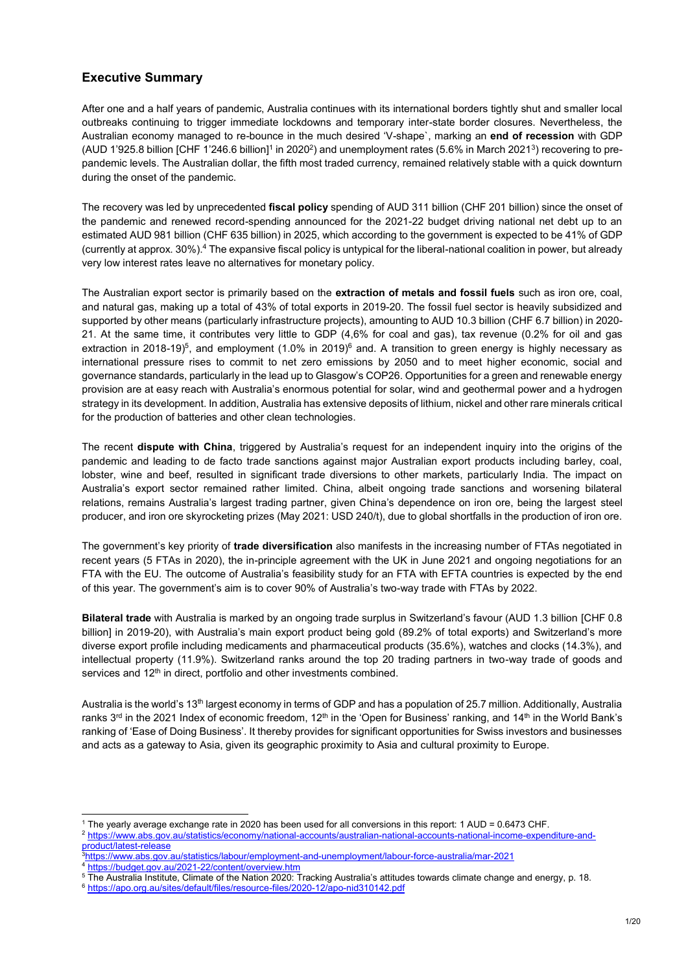# **Executive Summary**

After one and a half years of pandemic, Australia continues with its international borders tightly shut and smaller local outbreaks continuing to trigger immediate lockdowns and temporary inter-state border closures. Nevertheless, the Australian economy managed to re-bounce in the much desired 'V-shape`, marking an **end of recession** with GDP (AUD 1'925.8 billion [CHF 1'246.6 billion]<sup>1</sup> in 2020<sup>2</sup>) and unemployment rates (5.6% in March 2021<sup>3</sup>) recovering to prepandemic levels. The Australian dollar, the fifth most traded currency, remained relatively stable with a quick downturn during the onset of the pandemic.

The recovery was led by unprecedented **fiscal policy** spending of AUD 311 billion (CHF 201 billion) since the onset of the pandemic and renewed record-spending announced for the 2021-22 budget driving national net debt up to an estimated AUD 981 billion (CHF 635 billion) in 2025, which according to the government is expected to be 41% of GDP (currently at approx. 30%).<sup>4</sup> The expansive fiscal policy is untypical for the liberal-national coalition in power, but already very low interest rates leave no alternatives for monetary policy.

The Australian export sector is primarily based on the **extraction of metals and fossil fuels** such as iron ore, coal, and natural gas, making up a total of 43% of total exports in 2019-20. The fossil fuel sector is heavily subsidized and supported by other means (particularly infrastructure projects), amounting to AUD 10.3 billion (CHF 6.7 billion) in 2020- 21. At the same time, it contributes very little to GDP (4,6% for coal and gas), tax revenue (0.2% for oil and gas extraction in 2018-19)<sup>5</sup>, and employment (1.0% in 2019) $^6$  and. A transition to green energy is highly necessary as international pressure rises to commit to net zero emissions by 2050 and to meet higher economic, social and governance standards, particularly in the lead up to Glasgow's COP26. Opportunities for a green and renewable energy provision are at easy reach with Australia's enormous potential for solar, wind and geothermal power and a hydrogen strategy in its development. In addition, Australia has extensive deposits of lithium, nickel and other rare minerals critical for the production of batteries and other clean technologies.

The recent **dispute with China**, triggered by Australia's request for an independent inquiry into the origins of the pandemic and leading to de facto trade sanctions against major Australian export products including barley, coal, lobster, wine and beef, resulted in significant trade diversions to other markets, particularly India. The impact on Australia's export sector remained rather limited. China, albeit ongoing trade sanctions and worsening bilateral relations, remains Australia's largest trading partner, given China's dependence on iron ore, being the largest steel producer, and iron ore skyrocketing prizes (May 2021: USD 240/t), due to global shortfalls in the production of iron ore.

The government's key priority of **trade diversification** also manifests in the increasing number of FTAs negotiated in recent years (5 FTAs in 2020), the in-principle agreement with the UK in June 2021 and ongoing negotiations for an FTA with the EU. The outcome of Australia's feasibility study for an FTA with EFTA countries is expected by the end of this year. The government's aim is to cover 90% of Australia's two-way trade with FTAs by 2022.

**Bilateral trade** with Australia is marked by an ongoing trade surplus in Switzerland's favour (AUD 1.3 billion [CHF 0.8 billion] in 2019-20), with Australia's main export product being gold (89.2% of total exports) and Switzerland's more diverse export profile including medicaments and pharmaceutical products (35.6%), watches and clocks (14.3%), and intellectual property (11.9%). Switzerland ranks around the top 20 trading partners in two-way trade of goods and services and 12<sup>th</sup> in direct, portfolio and other investments combined.

Australia is the world's 13th largest economy in terms of GDP and has a population of 25.7 million. Additionally, Australia ranks 3<sup>rd</sup> in the 2021 Index of economic freedom, 12<sup>th</sup> in the 'Open for Business' ranking, and 14<sup>th</sup> in the World Bank's ranking of 'Ease of Doing Business'. It thereby provides for significant opportunities for Swiss investors and businesses and acts as a gateway to Asia, given its geographic proximity to Asia and cultural proximity to Europe.

<sup>2</sup> [https://www.abs.gov.au/statistics/economy/national-accounts/australian-national-accounts-national-income-expenditure-and](https://www.abs.gov.au/statistics/economy/national-accounts/australian-national-accounts-national-income-expenditure-and-product/latest-release)[product/latest-release](https://www.abs.gov.au/statistics/economy/national-accounts/australian-national-accounts-national-income-expenditure-and-product/latest-release)

4 <https://budget.gov.au/2021-22/content/overview.htm>

l  $1$  The yearly average exchange rate in 2020 has been used for all conversions in this report: 1 AUD = 0.6473 CHF.

<sup>3</sup>https://www.abs.gov.au/statistics/labour<u>/employment-and-unemployment/labour-force-australia/mar-2021</u>

<sup>5</sup> The Australia Institute, Climate of the Nation 2020: Tracking Australia's attitudes towards climate change and energy, p. 18.

<sup>6</sup> <https://apo.org.au/sites/default/files/resource-files/2020-12/apo-nid310142.pdf>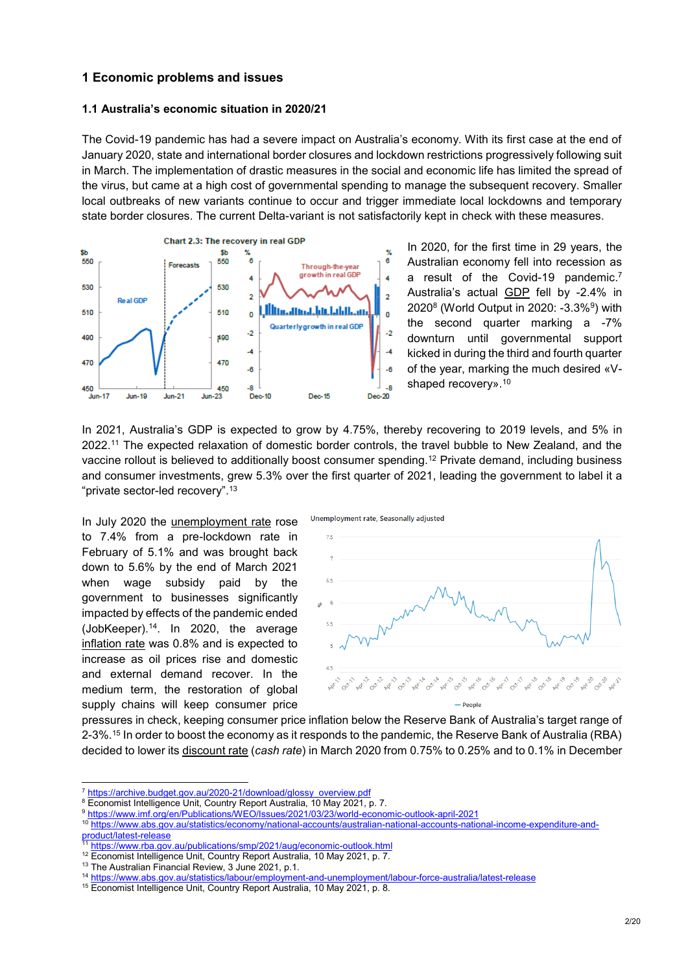# **1 Economic problems and issues**

#### **1.1 Australia's economic situation in 2020/21**

The Covid-19 pandemic has had a severe impact on Australia's economy. With its first case at the end of January 2020, state and international border closures and lockdown restrictions progressively following suit in March. The implementation of drastic measures in the social and economic life has limited the spread of the virus, but came at a high cost of governmental spending to manage the subsequent recovery. Smaller local outbreaks of new variants continue to occur and trigger immediate local lockdowns and temporary state border closures. The current Delta-variant is not satisfactorily kept in check with these measures.



In 2020, for the first time in 29 years, the Australian economy fell into recession as a result of the Covid-19 pandemic.<sup>7</sup> Australia's actual GDP fell by -2.4% in 2020<sup>8</sup> (World Output in 2020: -3.3%<sup>9</sup> ) with the second quarter marking a -7% downturn until governmental support kicked in during the third and fourth quarter of the year, marking the much desired «Vshaped recovery».<sup>10</sup>

In 2021, Australia's GDP is expected to grow by 4.75%, thereby recovering to 2019 levels, and 5% in 2022. <sup>11</sup> The expected relaxation of domestic border controls, the travel bubble to New Zealand, and the vaccine rollout is believed to additionally boost consumer spending.<sup>12</sup> Private demand, including business and consumer investments, grew 5.3% over the first quarter of 2021, leading the government to label it a "private sector-led recovery".<sup>13</sup>

In July 2020 the unemployment rate rose to 7.4% from a pre-lockdown rate in February of 5.1% and was brought back down to 5.6% by the end of March 2021 when wage subsidy paid by the government to businesses significantly impacted by effects of the pandemic ended (JobKeeper).<sup>14</sup>. In 2020, the average inflation rate was 0.8% and is expected to increase as oil prices rise and domestic and external demand recover. In the medium term, the restoration of global supply chains will keep consumer price



pressures in check, keeping consumer price inflation below the Reserve Bank of Australia's target range of 2-3%.<sup>15</sup> In order to boost the economy as it responds to the pandemic, the Reserve Bank of Australia (RBA) decided to lower its discount rate (*cash rate*) in March 2020 from 0.75% to 0.25% and to 0.1% in December

<sup>8</sup> Economist Intelligence Unit, Country Report Australia, 10 May 2021, p. 7.

<sup>7</sup> [https://archive.budget.gov.au/2020-21/download/glossy\\_overview.pdf](https://archive.budget.gov.au/2020-21/download/glossy_overview.pdf)

<sup>9</sup> <https://www.imf.org/en/Publications/WEO/Issues/2021/03/23/world-economic-outlook-april-2021>

<sup>10</sup> [https://www.abs.gov.au/statistics/economy/national-accounts/australian-national-accounts-national-income-expenditure-and-](https://www.abs.gov.au/statistics/economy/national-accounts/australian-national-accounts-national-income-expenditure-and-product/latest-release)

[product/latest-release](https://www.abs.gov.au/statistics/economy/national-accounts/australian-national-accounts-national-income-expenditure-and-product/latest-release)

<sup>&</sup>lt;sup>11</sup> <https://www.rba.gov.au/publications/smp/2021/aug/economic-outlook.html>

<sup>&</sup>lt;sup>12</sup> Economist Intelligence Unit, Country Report Australia, 10 May 2021, p. 7.

<sup>&</sup>lt;sup>13</sup> The Australian Financial Review, 3 June 2021, p.1.

<sup>14</sup> <https://www.abs.gov.au/statistics/labour/employment-and-unemployment/labour-force-australia/latest-release>

<sup>&</sup>lt;sup>15</sup> Economist Intelligence Unit, Country Report Australia, 10 May 2021, p. 8.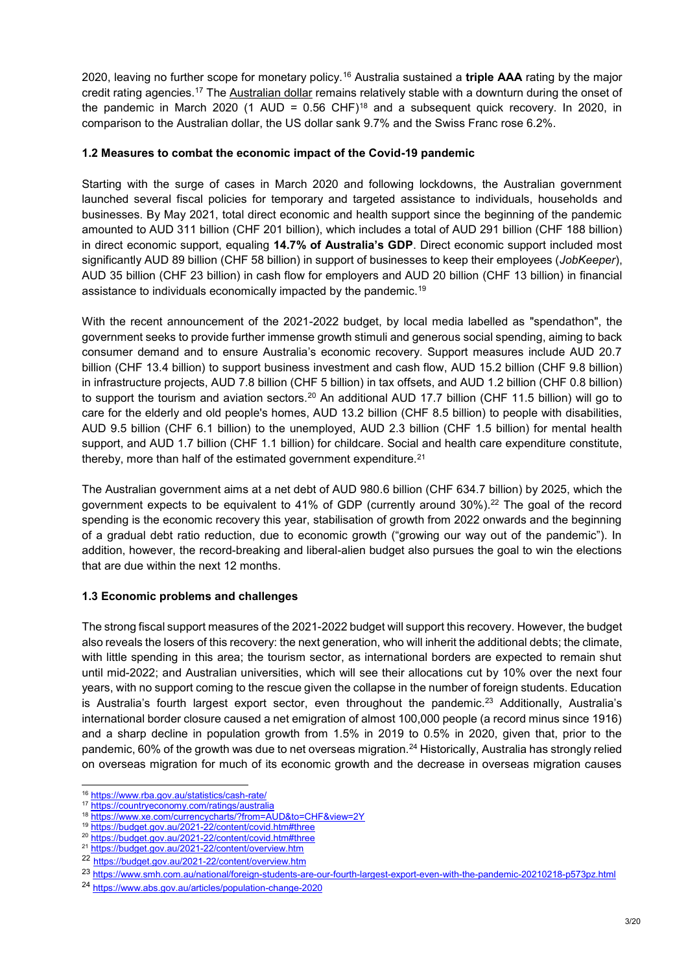2020, leaving no further scope for monetary policy.<sup>16</sup> Australia sustained a **triple AAA** rating by the major credit rating agencies.<sup>17</sup> The Australian dollar remains relatively stable with a downturn during the onset of the pandemic in March 2020 (1 AUD =  $0.56$  CHF)<sup>18</sup> and a subsequent quick recovery. In 2020, in comparison to the Australian dollar, the US dollar sank 9.7% and the Swiss Franc rose 6.2%.

#### **1.2 Measures to combat the economic impact of the Covid-19 pandemic**

Starting with the surge of cases in March 2020 and following lockdowns, the Australian government launched several fiscal policies for temporary and targeted assistance to individuals, households and businesses. By May 2021, total direct economic and health support since the beginning of the pandemic amounted to AUD 311 billion (CHF 201 billion), which includes a total of AUD 291 billion (CHF 188 billion) in direct economic support, equaling **14.7% of Australia's GDP**. Direct economic support included most significantly AUD 89 billion (CHF 58 billion) in support of businesses to keep their employees (*JobKeeper*), AUD 35 billion (CHF 23 billion) in cash flow for employers and AUD 20 billion (CHF 13 billion) in financial assistance to individuals economically impacted by the pandemic.<sup>19</sup>

With the recent announcement of the 2021-2022 budget, by local media labelled as "spendathon", the government seeks to provide further immense growth stimuli and generous social spending, aiming to back consumer demand and to ensure Australia's economic recovery. Support measures include AUD 20.7 billion (CHF 13.4 billion) to support business investment and cash flow, AUD 15.2 billion (CHF 9.8 billion) in infrastructure projects, AUD 7.8 billion (CHF 5 billion) in tax offsets, and AUD 1.2 billion (CHF 0.8 billion) to support the tourism and aviation sectors.<sup>20</sup> An additional AUD 17.7 billion (CHF 11.5 billion) will go to care for the elderly and old people's homes, AUD 13.2 billion (CHF 8.5 billion) to people with disabilities, AUD 9.5 billion (CHF 6.1 billion) to the unemployed, AUD 2.3 billion (CHF 1.5 billion) for mental health support, and AUD 1.7 billion (CHF 1.1 billion) for childcare. Social and health care expenditure constitute, thereby, more than half of the estimated government expenditure.<sup>21</sup>

The Australian government aims at a net debt of AUD 980.6 billion (CHF 634.7 billion) by 2025, which the government expects to be equivalent to 41% of GDP (currently around 30%).<sup>22</sup> The goal of the record spending is the economic recovery this year, stabilisation of growth from 2022 onwards and the beginning of a gradual debt ratio reduction, due to economic growth ("growing our way out of the pandemic"). In addition, however, the record-breaking and liberal-alien budget also pursues the goal to win the elections that are due within the next 12 months.

### **1.3 Economic problems and challenges**

The strong fiscal support measures of the 2021-2022 budget will support this recovery. However, the budget also reveals the losers of this recovery: the next generation, who will inherit the additional debts; the climate, with little spending in this area; the tourism sector, as international borders are expected to remain shut until mid-2022; and Australian universities, which will see their allocations cut by 10% over the next four years, with no support coming to the rescue given the collapse in the number of foreign students. Education is Australia's fourth largest export sector, even throughout the pandemic.<sup>23</sup> Additionally, Australia's international border closure caused a net emigration of almost 100,000 people (a record minus since 1916) and a sharp decline in population growth from 1.5% in 2019 to 0.5% in 2020, given that, prior to the pandemic, 60% of the growth was due to net overseas migration.<sup>24</sup> Historically, Australia has strongly relied on overseas migration for much of its economic growth and the decrease in overseas migration causes

<sup>16</sup> <https://www.rba.gov.au/statistics/cash-rate/>

<sup>17</sup> <https://countryeconomy.com/ratings/australia>

<sup>18</sup> <https://www.xe.com/currencycharts/?from=AUD&to=CHF&view=2Y>

<sup>19</sup> <https://budget.gov.au/2021-22/content/covid.htm#three>

<sup>20</sup> <https://budget.gov.au/2021-22/content/covid.htm#three>

<sup>21</sup> <https://budget.gov.au/2021-22/content/overview.htm>

<sup>22</sup> <https://budget.gov.au/2021-22/content/overview.htm>

<sup>23</sup> <https://www.smh.com.au/national/foreign-students-are-our-fourth-largest-export-even-with-the-pandemic-20210218-p573pz.html>

<sup>24</sup> <https://www.abs.gov.au/articles/population-change-2020>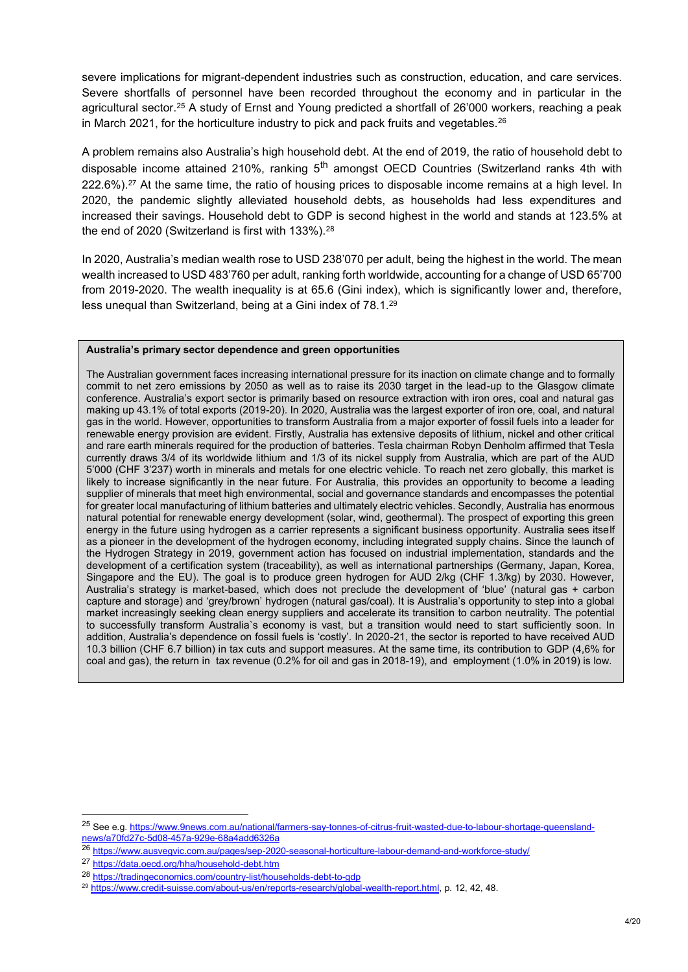severe implications for migrant-dependent industries such as construction, education, and care services. Severe shortfalls of personnel have been recorded throughout the economy and in particular in the agricultural sector.<sup>25</sup> A study of Ernst and Young predicted a shortfall of 26'000 workers, reaching a peak in March 2021, for the horticulture industry to pick and pack fruits and vegetables. $^{26}$ 

A problem remains also Australia's high household debt. At the end of 2019, the ratio of household debt to disposable income attained 210%, ranking  $5<sup>th</sup>$  amongst OECD Countries (Switzerland ranks 4th with 222.6%).<sup>27</sup> At the same time, the ratio of housing prices to disposable income remains at a high level. In 2020, the pandemic slightly alleviated household debts, as households had less expenditures and increased their savings. Household debt to GDP is second highest in the world and stands at 123.5% at the end of 2020 (Switzerland is first with 133%).<sup>28</sup>

In 2020, Australia's median wealth rose to USD 238'070 per adult, being the highest in the world. The mean wealth increased to USD 483'760 per adult, ranking forth worldwide, accounting for a change of USD 65'700 from 2019-2020. The wealth inequality is at 65.6 (Gini index), which is significantly lower and, therefore, less unequal than Switzerland, being at a Gini index of 78.1.<sup>29</sup>

#### **Australia's primary sector dependence and green opportunities**

The Australian government faces increasing international pressure for its inaction on climate change and to formally commit to net zero emissions by 2050 as well as to raise its 2030 target in the lead-up to the Glasgow climate conference. Australia's export sector is primarily based on resource extraction with iron ores, coal and natural gas making up 43.1% of total exports (2019-20). In 2020, Australia was the largest exporter of iron ore, coal, and natural gas in the world. However, opportunities to transform Australia from a major exporter of fossil fuels into a leader for renewable energy provision are evident. Firstly, Australia has extensive deposits of lithium, nickel and other critical and rare earth minerals required for the production of batteries. Tesla chairman Robyn Denholm affirmed that Tesla currently draws 3/4 of its worldwide lithium and 1/3 of its nickel supply from Australia, which are part of the AUD 5'000 (CHF 3'237) worth in minerals and metals for one electric vehicle. To reach net zero globally, this market is likely to increase significantly in the near future. For Australia, this provides an opportunity to become a leading supplier of minerals that meet high environmental, social and governance standards and encompasses the potential for greater local manufacturing of lithium batteries and ultimately electric vehicles. Secondly, Australia has enormous natural potential for renewable energy development (solar, wind, geothermal). The prospect of exporting this green energy in the future using hydrogen as a carrier represents a significant business opportunity. Australia sees itself as a pioneer in the development of the hydrogen economy, including integrated supply chains. Since the launch of the Hydrogen Strategy in 2019, government action has focused on industrial implementation, standards and the development of a certification system (traceability), as well as international partnerships (Germany, Japan, Korea, Singapore and the EU). The goal is to produce green hydrogen for AUD 2/kg (CHF 1.3/kg) by 2030. However, Australia's strategy is market-based, which does not preclude the development of 'blue' (natural gas + carbon capture and storage) and 'grey/brown' hydrogen (natural gas/coal). It is Australia's opportunity to step into a global market increasingly seeking clean energy suppliers and accelerate its transition to carbon neutrality. The potential to successfully transform Australia`s economy is vast, but a transition would need to start sufficiently soon. In addition, Australia's dependence on fossil fuels is 'costly'. In 2020-21, the sector is reported to have received AUD 10.3 billion (CHF 6.7 billion) in tax cuts and support measures. At the same time, its contribution to GDP (4,6% for coal and gas), the return in tax revenue (0.2% for oil and gas in 2018-19), and employment (1.0% in 2019) is low.

<sup>&</sup>lt;sup>25</sup> See e.g[. https://www.9news.com.au/national/farmers-say-tonnes-of-citrus-fruit-wasted-due-to-labour-shortage-queensland](https://www.9news.com.au/national/farmers-say-tonnes-of-citrus-fruit-wasted-due-to-labour-shortage-queensland-news/a70fd27c-5d08-457a-929e-68a4add6326a)[news/a70fd27c-5d08-457a-929e-68a4add6326a](https://www.9news.com.au/national/farmers-say-tonnes-of-citrus-fruit-wasted-due-to-labour-shortage-queensland-news/a70fd27c-5d08-457a-929e-68a4add6326a)

<sup>26</sup> <https://www.ausvegvic.com.au/pages/sep-2020-seasonal-horticulture-labour-demand-and-workforce-study/>

<sup>27</sup> <https://data.oecd.org/hha/household-debt.htm>

<sup>28</sup> <https://tradingeconomics.com/country-list/households-debt-to-gdp>

<sup>29</sup> [https://www.credit-suisse.com/about-us/en/reports-research/global-wealth-report.html,](https://www.credit-suisse.com/about-us/en/reports-research/global-wealth-report.html) p. 12, 42, 48.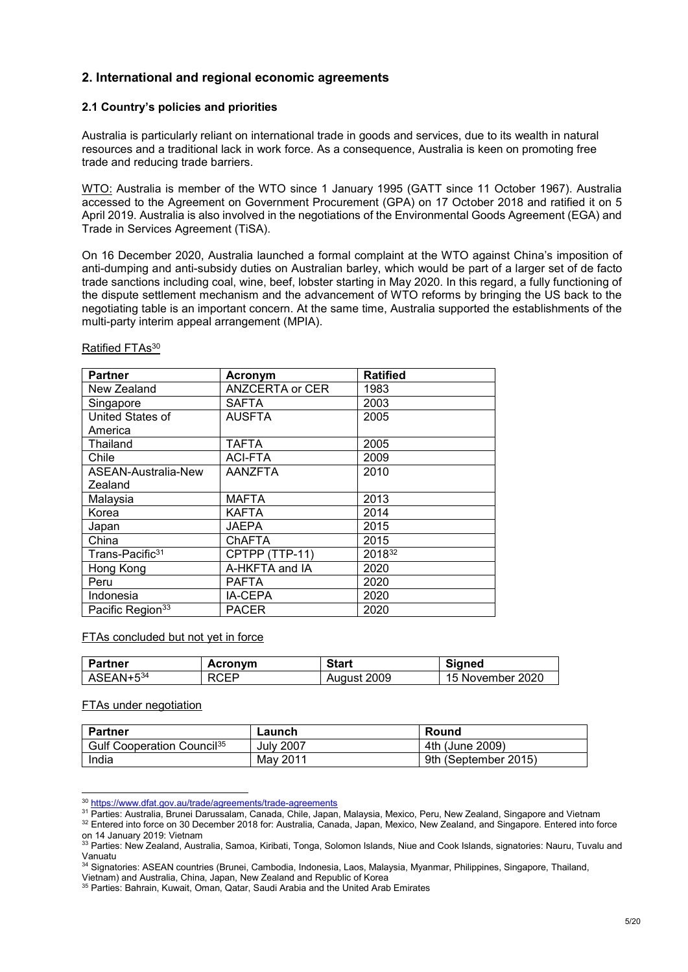# **2. International and regional economic agreements**

#### **2.1 Country's policies and priorities**

Australia is particularly reliant on international trade in goods and services, due to its wealth in natural resources and a traditional lack in work force. As a consequence, Australia is keen on promoting free trade and reducing trade barriers.

WTO: Australia is member of the WTO since 1 January 1995 (GATT since 11 October 1967). Australia accessed to the Agreement on Government Procurement (GPA) on 17 October 2018 and ratified it on 5 April 2019. Australia is also involved in the negotiations of the Environmental Goods Agreement (EGA) and Trade in Services Agreement (TiSA).

On 16 December 2020, Australia launched a formal complaint at the WTO against China's imposition of anti-dumping and anti-subsidy duties on Australian barley, which would be part of a larger set of de facto trade sanctions including coal, wine, beef, lobster starting in May 2020. In this regard, a fully functioning of the dispute settlement mechanism and the advancement of WTO reforms by bringing the US back to the negotiating table is an important concern. At the same time, Australia supported the establishments of the multi-party interim appeal arrangement (MPIA).

| <b>Partner</b>               | Acronym                | <b>Ratified</b> |
|------------------------------|------------------------|-----------------|
| New Zealand                  | <b>ANZCERTA or CER</b> | 1983            |
| Singapore                    | <b>SAFTA</b>           | 2003            |
| United States of             | <b>AUSFTA</b>          | 2005            |
| America                      |                        |                 |
| Thailand                     | <b>TAFTA</b>           | 2005            |
| Chile                        | ACI-FTA                | 2009            |
| ASEAN-Australia-New          | <b>AANZFTA</b>         | 2010            |
| Zealand                      |                        |                 |
| Malaysia                     | <b>MAFTA</b>           | 2013            |
| Korea                        | KAFTA                  | 2014            |
| Japan                        | <b>JAEPA</b>           | 2015            |
| China                        | ChAFTA                 | 2015            |
| Trans-Pacific <sup>31</sup>  | CPTPP (TTP-11)         | 201832          |
| Hong Kong                    | A-HKFTA and IA         | 2020            |
| Peru                         | <b>PAFTA</b>           | 2020            |
| Indonesia                    | IA-CEPA                | 2020            |
| Pacific Region <sup>33</sup> | <b>PACER</b>           | 2020            |

#### Ratified FTAs<sup>30</sup>

FTAs concluded but not yet in force

| Partner   | Acronym     | <b>Start</b> | Signed           |
|-----------|-------------|--------------|------------------|
| ASEAN+534 | <b>RCEP</b> | August 2009  | 15 November 2020 |

#### FTAs under negotiation

| <b>Partner</b>                                | Launch    | Round                |
|-----------------------------------------------|-----------|----------------------|
| <b>Gulf Cooperation Council</b> <sup>35</sup> | July 2007 | 4th (June 2009)      |
| India                                         | May 2011  | 9th (September 2015) |

<sup>&</sup>lt;sup>30</sup> <https://www.dfat.gov.au/trade/agreements/trade-agreements>

<sup>31</sup> Parties: Australia, Brunei Darussalam, Canada, Chile, Japan, Malaysia, Mexico, Peru, New Zealand, Singapore and Vietnam

<sup>32</sup> Entered into force on 30 December 2018 for: Australia, Canada, Japan, Mexico, New Zealand, and Singapore. Entered into force on 14 January 2019: Vietnam

<sup>33</sup> Parties: New Zealand, Australia, Samoa, Kiribati, Tonga, Solomon Islands, Niue and Cook Islands, signatories: Nauru, Tuvalu and Vanuatu

<sup>34</sup> Signatories: ASEAN countries (Brunei, Cambodia, Indonesia, Laos, Malaysia, Myanmar, Philippines, Singapore, Thailand,

Vietnam) and Australia, China, Japan, New Zealand and Republic of Korea

<sup>35</sup> Parties: Bahrain, Kuwait, Oman, Qatar, Saudi Arabia and the United Arab Emirates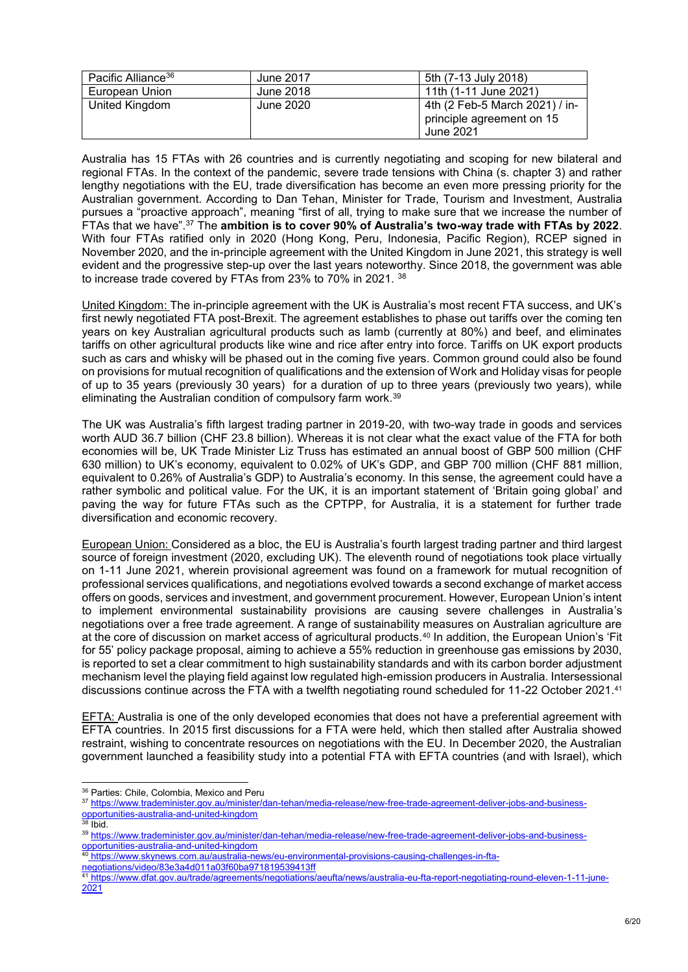| Pacific Alliance <sup>36</sup> | June 2017 | 5th (7-13 July 2018)           |
|--------------------------------|-----------|--------------------------------|
| European Union                 | June 2018 | 11th (1-11 June 2021)          |
| United Kingdom                 | June 2020 | 4th (2 Feb-5 March 2021) / in- |
|                                |           | principle agreement on 15      |
|                                |           | June 2021                      |

Australia has 15 FTAs with 26 countries and is currently negotiating and scoping for new bilateral and regional FTAs. In the context of the pandemic, severe trade tensions with China (s. chapter 3) and rather lengthy negotiations with the EU, trade diversification has become an even more pressing priority for the Australian government. According to Dan Tehan, Minister for Trade, Tourism and Investment, Australia pursues a "proactive approach", meaning "first of all, trying to make sure that we increase the number of FTAs that we have".<sup>37</sup> The **ambition is to cover 90% of Australia's two-way trade with FTAs by 2022**. With four FTAs ratified only in 2020 (Hong Kong, Peru, Indonesia, Pacific Region), RCEP signed in November 2020, and the in-principle agreement with the United Kingdom in June 2021, this strategy is well evident and the progressive step-up over the last years noteworthy. Since 2018, the government was able to increase trade covered by FTAs from 23% to 70% in 2021. <sup>38</sup>

United Kingdom: The in-principle agreement with the UK is Australia's most recent FTA success, and UK's first newly negotiated FTA post-Brexit. The agreement establishes to phase out tariffs over the coming ten years on key Australian agricultural products such as lamb (currently at 80%) and beef, and eliminates tariffs on other agricultural products like wine and rice after entry into force. Tariffs on UK export products such as cars and whisky will be phased out in the coming five years. Common ground could also be found on provisions for mutual recognition of qualifications and the extension of Work and Holiday visas for people of up to 35 years (previously 30 years) for a duration of up to three years (previously two years), while eliminating the Australian condition of compulsory farm work.<sup>39</sup>

The UK was Australia's fifth largest trading partner in 2019-20, with two-way trade in goods and services worth AUD 36.7 billion (CHF 23.8 billion). Whereas it is not clear what the exact value of the FTA for both economies will be, UK Trade Minister Liz Truss has estimated an annual boost of GBP 500 million (CHF 630 million) to UK's economy, equivalent to 0.02% of UK's GDP, and GBP 700 million (CHF 881 million, equivalent to 0.26% of Australia's GDP) to Australia's economy. In this sense, the agreement could have a rather symbolic and political value. For the UK, it is an important statement of 'Britain going global' and paving the way for future FTAs such as the CPTPP, for Australia, it is a statement for further trade diversification and economic recovery.

European Union: Considered as a bloc, the EU is Australia's fourth largest trading partner and third largest source of foreign investment (2020, excluding UK). The eleventh round of negotiations took place virtually on 1-11 June 2021, wherein provisional agreement was found on a framework for mutual recognition of professional services qualifications, and negotiations evolved towards a second exchange of market access offers on goods, services and investment, and government procurement. However, European Union's intent to implement environmental sustainability provisions are causing severe challenges in Australia's negotiations over a free trade agreement. A range of sustainability measures on Australian agriculture are at the core of discussion on market access of agricultural products.<sup>40</sup> In addition, the European Union's 'Fit for 55' policy package proposal, aiming to achieve a 55% reduction in greenhouse gas emissions by 2030, is reported to set a clear commitment to high sustainability standards and with its carbon border adjustment mechanism level the playing field against low regulated high-emission producers in Australia. Intersessional discussions continue across the FTA with a twelfth negotiating round scheduled for 11-22 October 2021.<sup>41</sup>

EFTA: Australia is one of the only developed economies that does not have a preferential agreement with EFTA countries. In 2015 first discussions for a FTA were held, which then stalled after Australia showed restraint, wishing to concentrate resources on negotiations with the EU. In December 2020, the Australian government launched a feasibility study into a potential FTA with EFTA countries (and with Israel), which

- [opportunities-australia-and-united-kingdom](https://www.trademinister.gov.au/minister/dan-tehan/media-release/new-free-trade-agreement-deliver-jobs-and-business-opportunities-australia-and-united-kingdom)
- $38$  Ibid.

[negotiations/video/83e3a4d011a03f60ba971819539413ff](https://www.skynews.com.au/australia-news/eu-environmental-provisions-causing-challenges-in-fta-negotiations/video/83e3a4d011a03f60ba971819539413ff)

l <sup>36</sup> Parties: Chile, Colombia, Mexico and Peru

<sup>37</sup> [https://www.trademinister.gov.au/minister/dan-tehan/media-release/new-free-trade-agreement-deliver-jobs-and-business-](https://www.trademinister.gov.au/minister/dan-tehan/media-release/new-free-trade-agreement-deliver-jobs-and-business-opportunities-australia-and-united-kingdom)

<sup>39</sup> [https://www.trademinister.gov.au/minister/dan-tehan/media-release/new-free-trade-agreement-deliver-jobs-and-business](https://www.trademinister.gov.au/minister/dan-tehan/media-release/new-free-trade-agreement-deliver-jobs-and-business-opportunities-australia-and-united-kingdom)[opportunities-australia-and-united-kingdom](https://www.trademinister.gov.au/minister/dan-tehan/media-release/new-free-trade-agreement-deliver-jobs-and-business-opportunities-australia-and-united-kingdom)

<sup>40</sup> [https://www.skynews.com.au/australia-news/eu-environmental-provisions-causing-challenges-in-fta-](https://www.skynews.com.au/australia-news/eu-environmental-provisions-causing-challenges-in-fta-negotiations/video/83e3a4d011a03f60ba971819539413ff)

<sup>41</sup> [https://www.dfat.gov.au/trade/agreements/negotiations/aeufta/news/australia-eu-fta-report-negotiating-round-eleven-1-11-june-](https://www.dfat.gov.au/trade/agreements/negotiations/aeufta/news/australia-eu-fta-report-negotiating-round-eleven-1-11-june-2021)[2021](https://www.dfat.gov.au/trade/agreements/negotiations/aeufta/news/australia-eu-fta-report-negotiating-round-eleven-1-11-june-2021)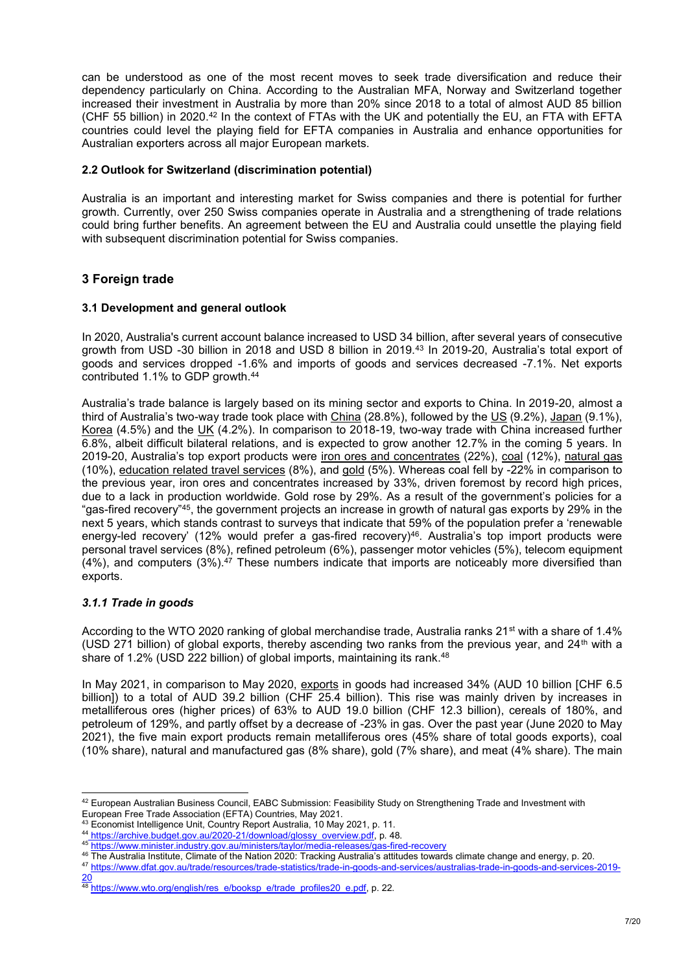can be understood as one of the most recent moves to seek trade diversification and reduce their dependency particularly on China. According to the Australian MFA, Norway and Switzerland together increased their investment in Australia by more than 20% since 2018 to a total of almost AUD 85 billion (CHF 55 billion) in 2020.<sup>42</sup> In the context of FTAs with the UK and potentially the EU, an FTA with EFTA countries could level the playing field for EFTA companies in Australia and enhance opportunities for Australian exporters across all major European markets.

#### **2.2 Outlook for Switzerland (discrimination potential)**

Australia is an important and interesting market for Swiss companies and there is potential for further growth. Currently, over 250 Swiss companies operate in Australia and a strengthening of trade relations could bring further benefits. An agreement between the EU and Australia could unsettle the playing field with subsequent discrimination potential for Swiss companies.

# **3 Foreign trade**

#### **3.1 Development and general outlook**

In 2020, Australia's current account balance increased to USD 34 billion, after several years of consecutive growth from USD -30 billion in 2018 and USD 8 billion in 2019.<sup>43</sup> In 2019-20, Australia's total export of goods and services dropped -1.6% and imports of goods and services decreased -7.1%. Net exports contributed 1.1% to GDP growth.<sup>44</sup>

Australia's trade balance is largely based on its mining sector and exports to China. In 2019-20, almost a third of Australia's two-way trade took place with China (28.8%), followed by the US (9.2%), Japan (9.1%), Korea (4.5%) and the UK (4.2%). In comparison to 2018-19, two-way trade with China increased further 6.8%, albeit difficult bilateral relations, and is expected to grow another 12.7% in the coming 5 years. In 2019-20, Australia's top export products were iron ores and concentrates (22%), coal (12%), natural gas (10%), education related travel services (8%), and gold (5%). Whereas coal fell by -22% in comparison to the previous year, iron ores and concentrates increased by 33%, driven foremost by record high prices, due to a lack in production worldwide. Gold rose by 29%. As a result of the government's policies for a "gas-fired recovery"<sup>45</sup>, the government projects an increase in growth of natural gas exports by 29% in the next 5 years, which stands contrast to surveys that indicate that 59% of the population prefer a 'renewable energy-led recovery' (12% would prefer a gas-fired recovery)<sup>46</sup>. Australia's top import products were personal travel services (8%), refined petroleum (6%), passenger motor vehicles (5%), telecom equipment  $(4\%)$ , and computers  $(3\%)$ .<sup>47</sup> These numbers indicate that imports are noticeably more diversified than exports.

### *3.1.1 Trade in goods*

l

According to the WTO 2020 ranking of global merchandise trade, Australia ranks 21<sup>st</sup> with a share of 1.4% (USD 271 billion) of global exports, thereby ascending two ranks from the previous year, and  $24<sup>th</sup>$  with a share of 1.2% (USD 222 billion) of global imports, maintaining its rank.<sup>48</sup>

In May 2021, in comparison to May 2020, exports in goods had increased 34% (AUD 10 billion [CHF 6.5 billion]) to a total of AUD 39.2 billion (CHF 25.4 billion). This rise was mainly driven by increases in metalliferous ores (higher prices) of 63% to AUD 19.0 billion (CHF 12.3 billion), cereals of 180%, and petroleum of 129%, and partly offset by a decrease of -23% in gas. Over the past year (June 2020 to May 2021), the five main export products remain metalliferous ores (45% share of total goods exports), coal (10% share), natural and manufactured gas (8% share), gold (7% share), and meat (4% share). The main

<sup>47</sup> [https://www.dfat.gov.au/trade/resources/trade-statistics/trade-in-goods-and-services/australias-trade-in-goods-and-services-2019-](https://www.dfat.gov.au/trade/resources/trade-statistics/trade-in-goods-and-services/australias-trade-in-goods-and-services-2019-20) [20](https://www.dfat.gov.au/trade/resources/trade-statistics/trade-in-goods-and-services/australias-trade-in-goods-and-services-2019-20)

 $^{42}$  European Australian Business Council, EABC Submission: Feasibility Study on Strengthening Trade and Investment with European Free Trade Association (EFTA) Countries, May 2021.

<sup>43</sup> Economist Intelligence Unit, Country Report Australia, 10 May 2021, p. 11.

<sup>44</sup> [https://archive.budget.gov.au/2020-21/download/glossy\\_overview.pdf,](https://archive.budget.gov.au/2020-21/download/glossy_overview.pdf) p. 48.

<sup>45</sup> <https://www.minister.industry.gov.au/ministers/taylor/media-releases/gas-fired-recovery>

<sup>46</sup> The Australia Institute, Climate of the Nation 2020: Tracking Australia's attitudes towards climate change and energy, p. 20.

<sup>&</sup>lt;sup>48</sup> [https://www.wto.org/english/res\\_e/booksp\\_e/trade\\_profiles20\\_e.pdf,](https://www.wto.org/english/res_e/booksp_e/trade_profiles20_e.pdf) p. 22.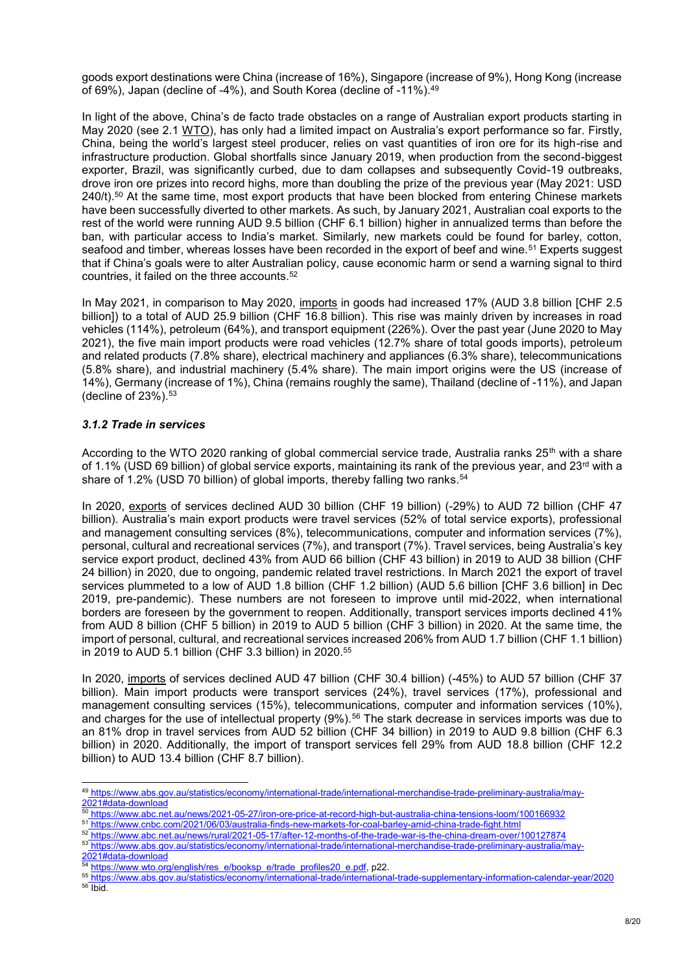goods export destinations were China (increase of 16%), Singapore (increase of 9%), Hong Kong (increase of 69%), Japan (decline of -4%), and South Korea (decline of -11%).<sup>49</sup>

In light of the above, China's de facto trade obstacles on a range of Australian export products starting in May 2020 (see 2.1 WTO), has only had a limited impact on Australia's export performance so far. Firstly, China, being the world's largest steel producer, relies on vast quantities of iron ore for its high-rise and infrastructure production. Global shortfalls since January 2019, when production from the second-biggest exporter, Brazil, was significantly curbed, due to dam collapses and subsequently Covid-19 outbreaks, drove iron ore prizes into record highs, more than doubling the prize of the previous year (May 2021: USD  $240/t$ ).<sup>50</sup> At the same time, most export products that have been blocked from entering Chinese markets have been successfully diverted to other markets. As such, by January 2021, Australian coal exports to the rest of the world were running AUD 9.5 billion (CHF 6.1 billion) higher in annualized terms than before the ban, with particular access to India's market. Similarly, new markets could be found for barley, cotton, seafood and timber, whereas losses have been recorded in the export of beef and wine.<sup>51</sup> Experts suggest that if China's goals were to alter Australian policy, cause economic harm or send a warning signal to third countries, it failed on the three accounts.<sup>52</sup>

In May 2021, in comparison to May 2020, imports in goods had increased 17% (AUD 3.8 billion [CHF 2.5 billion]) to a total of AUD 25.9 billion (CHF 16.8 billion). This rise was mainly driven by increases in road vehicles (114%), petroleum (64%), and transport equipment (226%). Over the past year (June 2020 to May 2021), the five main import products were road vehicles (12.7% share of total goods imports), petroleum and related products (7.8% share), electrical machinery and appliances (6.3% share), telecommunications (5.8% share), and industrial machinery (5.4% share). The main import origins were the US (increase of 14%), Germany (increase of 1%), China (remains roughly the same), Thailand (decline of -11%), and Japan (decline of  $23\%$ ).  $53$ 

### *3.1.2 Trade in services*

According to the WTO 2020 ranking of global commercial service trade, Australia ranks 25<sup>th</sup> with a share of 1.1% (USD 69 billion) of global service exports, maintaining its rank of the previous year, and 23<sup>rd</sup> with a share of 1.2% (USD 70 billion) of global imports, thereby falling two ranks.<sup>54</sup>

In 2020, exports of services declined AUD 30 billion (CHF 19 billion) (-29%) to AUD 72 billion (CHF 47 billion). Australia's main export products were travel services (52% of total service exports), professional and management consulting services (8%), telecommunications, computer and information services (7%), personal, cultural and recreational services (7%), and transport (7%). Travel services, being Australia's key service export product, declined 43% from AUD 66 billion (CHF 43 billion) in 2019 to AUD 38 billion (CHF 24 billion) in 2020, due to ongoing, pandemic related travel restrictions. In March 2021 the export of travel services plummeted to a low of AUD 1.8 billion (CHF 1.2 billion) (AUD 5.6 billion [CHF 3.6 billion] in Dec 2019, pre-pandemic). These numbers are not foreseen to improve until mid-2022, when international borders are foreseen by the government to reopen. Additionally, transport services imports declined 41% from AUD 8 billion (CHF 5 billion) in 2019 to AUD 5 billion (CHF 3 billion) in 2020. At the same time, the import of personal, cultural, and recreational services increased 206% from AUD 1.7 billion (CHF 1.1 billion) in 2019 to AUD 5.1 billion (CHF 3.3 billion) in 2020.<sup>55</sup>

In 2020, imports of services declined AUD 47 billion (CHF 30.4 billion) (-45%) to AUD 57 billion (CHF 37 billion). Main import products were transport services (24%), travel services (17%), professional and management consulting services (15%), telecommunications, computer and information services (10%), and charges for the use of intellectual property (9%).<sup>56</sup> The stark decrease in services imports was due to an 81% drop in travel services from AUD 52 billion (CHF 34 billion) in 2019 to AUD 9.8 billion (CHF 6.3 billion) in 2020. Additionally, the import of transport services fell 29% from AUD 18.8 billion (CHF 12.2 billion) to AUD 13.4 billion (CHF 8.7 billion).

- <sup>51</sup> <https://www.cnbc.com/2021/06/03/australia-finds-new-markets-for-coal-barley-amid-china-trade-fight.html>
- <sup>52</sup> <https://www.abc.net.au/news/rural/2021-05-17/after-12-months-of-the-trade-war-is-the-china-dream-over/100127874>

<sup>49</sup> [https://www.abs.gov.au/statistics/economy/international-trade/international-merchandise-trade-preliminary-australia/may-](https://www.abs.gov.au/statistics/economy/international-trade/international-merchandise-trade-preliminary-australia/may-2021#data-download)[2021#data-download](https://www.abs.gov.au/statistics/economy/international-trade/international-merchandise-trade-preliminary-australia/may-2021#data-download)

<sup>50</sup> <https://www.abc.net.au/news/2021-05-27/iron-ore-price-at-record-high-but-australia-china-tensions-loom/100166932>

<sup>53</sup> [https://www.abs.gov.au/statistics/economy/international-trade/international-merchandise-trade-preliminary-australia/may-](https://www.abs.gov.au/statistics/economy/international-trade/international-merchandise-trade-preliminary-australia/may-2021#data-download)

[<sup>2021#</sup>data-download](https://www.abs.gov.au/statistics/economy/international-trade/international-merchandise-trade-preliminary-australia/may-2021#data-download)

<sup>54</sup> [https://www.wto.org/english/res\\_e/booksp\\_e/trade\\_profiles20\\_e.pdf,](https://www.wto.org/english/res_e/booksp_e/trade_profiles20_e.pdf) p22.

<sup>55</sup> <https://www.abs.gov.au/statistics/economy/international-trade/international-trade-supplementary-information-calendar-year/2020> <sup>56</sup> Ibid.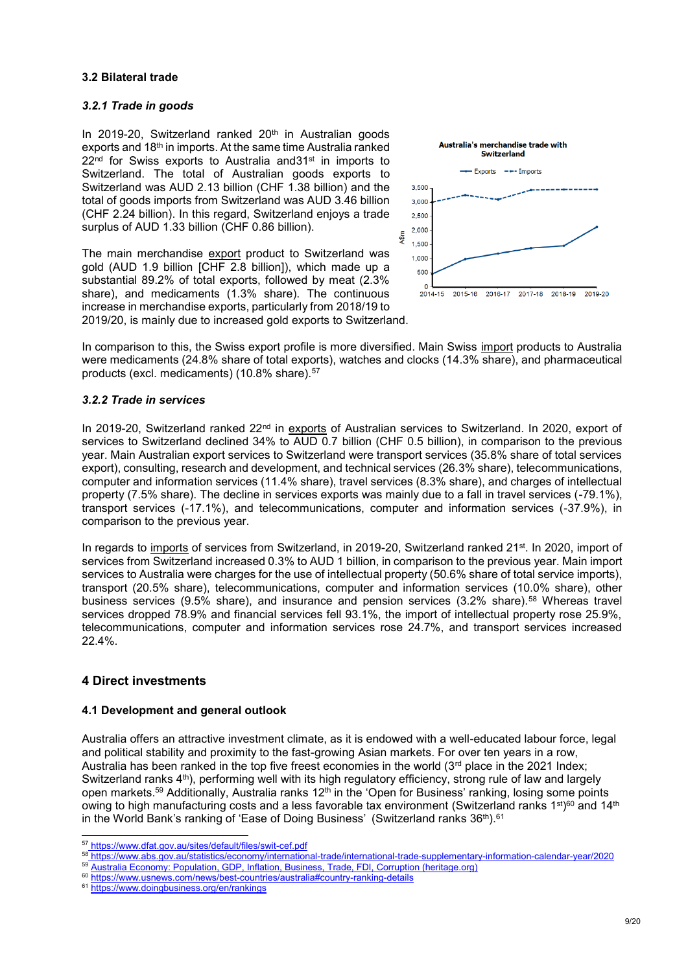#### **3.2 Bilateral trade**

#### *3.2.1 Trade in goods*

In 2019-20, Switzerland ranked 20<sup>th</sup> in Australian goods exports and 18<sup>th</sup> in imports. At the same time Australia ranked  $22<sup>nd</sup>$  for Swiss exports to Australia and 31<sup>st</sup> in imports to Switzerland. The total of Australian goods exports to Switzerland was AUD 2.13 billion (CHF 1.38 billion) and the total of goods imports from Switzerland was AUD 3.46 billion (CHF 2.24 billion). In this regard, Switzerland enjoys a trade surplus of AUD 1.33 billion (CHF 0.86 billion).

The main merchandise export product to Switzerland was gold (AUD 1.9 billion [CHF 2.8 billion]), which made up a substantial 89.2% of total exports, followed by meat (2.3% share), and medicaments (1.3% share). The continuous increase in merchandise exports, particularly from 2018/19 to 2019/20, is mainly due to increased gold exports to Switzerland.



In comparison to this, the Swiss export profile is more diversified. Main Swiss import products to Australia were medicaments (24.8% share of total exports), watches and clocks (14.3% share), and pharmaceutical products (excl. medicaments) (10.8% share).<sup>57</sup>

#### *3.2.2 Trade in services*

In 2019-20, Switzerland ranked 22<sup>nd</sup> in exports of Australian services to Switzerland. In 2020, export of services to Switzerland declined 34% to AUD 0.7 billion (CHF 0.5 billion), in comparison to the previous year. Main Australian export services to Switzerland were transport services (35.8% share of total services export), consulting, research and development, and technical services (26.3% share), telecommunications, computer and information services (11.4% share), travel services (8.3% share), and charges of intellectual property (7.5% share). The decline in services exports was mainly due to a fall in travel services (-79.1%), transport services (-17.1%), and telecommunications, computer and information services (-37.9%), in comparison to the previous year.

In regards to imports of services from Switzerland, in 2019-20, Switzerland ranked 21<sup>st</sup>. In 2020, import of services from Switzerland increased 0.3% to AUD 1 billion, in comparison to the previous year. Main import services to Australia were charges for the use of intellectual property (50.6% share of total service imports), transport (20.5% share), telecommunications, computer and information services (10.0% share), other business services (9.5% share), and insurance and pension services (3.2% share).<sup>58</sup> Whereas travel services dropped 78.9% and financial services fell 93.1%, the import of intellectual property rose 25.9%, telecommunications, computer and information services rose 24.7%, and transport services increased 22.4%.

### **4 Direct investments**

l

#### **4.1 Development and general outlook**

Australia offers an attractive investment climate, as it is endowed with a well-educated labour force, legal and political stability and proximity to the fast-growing Asian markets. For over ten years in a row, Australia has been ranked in the top five freest economies in the world (3<sup>rd</sup> place in the 2021 Index; Switzerland ranks 4<sup>th</sup>), performing well with its high regulatory efficiency, strong rule of law and largely open markets.<sup>59</sup> Additionally, Australia ranks 12<sup>th</sup> in the 'Open for Business' ranking, losing some points owing to high manufacturing costs and a less favorable tax environment (Switzerland ranks 1st)<sup>60</sup> and 14th in the World Bank's ranking of 'Ease of Doing Business' (Switzerland ranks 36<sup>th</sup>).<sup>61</sup>

<sup>57</sup> <https://www.dfat.gov.au/sites/default/files/swit-cef.pdf>

<sup>58</sup> <https://www.abs.gov.au/statistics/economy/international-trade/international-trade-supplementary-information-calendar-year/2020>

<sup>59</sup> [Australia Economy: Population, GDP, Inflation, Business, Trade, FDI, Corruption \(heritage.org\)](https://www.heritage.org/index/country/australia) 

<sup>60</sup> <https://www.usnews.com/news/best-countries/australia#country-ranking-details>

<sup>61</sup> <https://www.doingbusiness.org/en/rankings>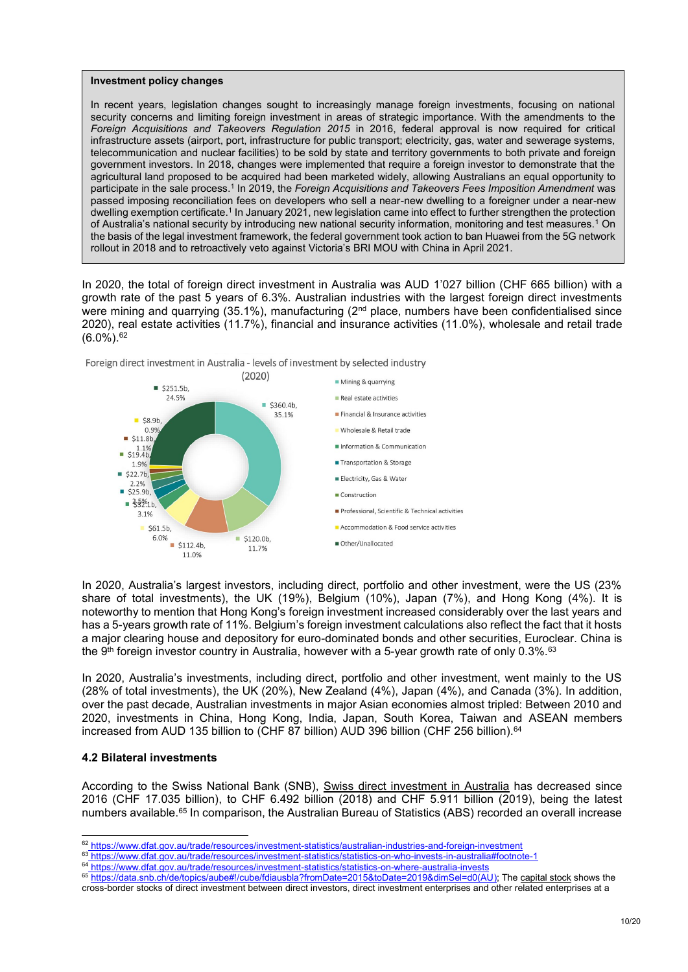#### **Investment policy changes**

In recent years, legislation changes sought to increasingly manage foreign investments, focusing on national security concerns and limiting foreign investment in areas of strategic importance. With the amendments to the *Foreign Acquisitions and Takeovers Regulation 2015* in 2016, federal approval is now required for critical infrastructure assets (airport, port, infrastructure for public transport; electricity, gas, water and sewerage systems, telecommunication and nuclear facilities) to be sold by state and territory governments to both private and foreign government investors. In 2018, changes were implemented that require a foreign investor to demonstrate that the agricultural land proposed to be acquired had been marketed widely, allowing Australians an equal opportunity to participate in the sale process.<sup>1</sup> In 2019, the *Foreign Acquisitions and Takeovers Fees Imposition Amendment* was passed imposing reconciliation fees on developers who sell a near-new dwelling to a foreigner under a near-new dwelling exemption certificate.<sup>1</sup> In January 2021, new legislation came into effect to further strengthen the protection of Australia's national security by introducing new national security information, monitoring and test measures.<sup>1</sup> On the basis of the legal investment framework, the federal government took action to ban Huawei from the 5G network rollout in 2018 and to retroactively veto against Victoria's BRI MOU with China in April 2021.

In 2020, the total of foreign direct investment in Australia was AUD 1'027 billion (CHF 665 billion) with a growth rate of the past 5 years of 6.3%. Australian industries with the largest foreign direct investments were mining and quarrying (35.1%), manufacturing (2<sup>nd</sup> place, numbers have been confidentialised since 2020), real estate activities (11.7%), financial and insurance activities (11.0%), wholesale and retail trade  $(6.0\%)$ . 62



Foreign direct investment in Australia - levels of investment by selected industry

In 2020, Australia's largest investors, including direct, portfolio and other investment, were the US (23% share of total investments), the UK (19%), Belgium (10%), Japan (7%), and Hong Kong (4%). It is noteworthy to mention that Hong Kong's foreign investment increased considerably over the last years and has a 5-years growth rate of 11%. Belgium's foreign investment calculations also reflect the fact that it hosts a major clearing house and depository for euro-dominated bonds and other securities, Euroclear. China is the 9<sup>th</sup> foreign investor country in Australia, however with a 5-year growth rate of only 0.3%.<sup>63</sup>

In 2020, Australia's investments, including direct, portfolio and other investment, went mainly to the US (28% of total investments), the UK (20%), New Zealand (4%), Japan (4%), and Canada (3%). In addition, over the past decade, Australian investments in major Asian economies almost tripled: Between 2010 and 2020, investments in China, Hong Kong, India, Japan, South Korea, Taiwan and ASEAN members increased from AUD 135 billion to (CHF 87 billion) AUD 396 billion (CHF 256 billion). 64

#### **4.2 Bilateral investments**

l

According to the Swiss National Bank (SNB), Swiss direct investment in Australia has decreased since 2016 (CHF 17.035 billion), to CHF 6.492 billion (2018) and CHF 5.911 billion (2019), being the latest numbers available.<sup>65</sup> In comparison, the Australian Bureau of Statistics (ABS) recorded an overall increase

<sup>&</sup>lt;sup>62</sup> <https://www.dfat.gov.au/trade/resources/investment-statistics/australian-industries-and-foreign-investment>

<sup>63</sup> <https://www.dfat.gov.au/trade/resources/investment-statistics/statistics-on-who-invests-in-australia#footnote-1>

<sup>64</sup> <https://www.dfat.gov.au/trade/resources/investment-statistics/statistics-on-where-australia-invests>

<sup>65</sup> https://<u>data.snb.ch/de/topics/aube#!/cube/fdiausbla?fromDate=2015&toDate=2019&dimSel=d0(AU)</u>; The capital stock shows the

cross-border stocks of direct investment between direct investors, direct investment enterprises and other related enterprises at a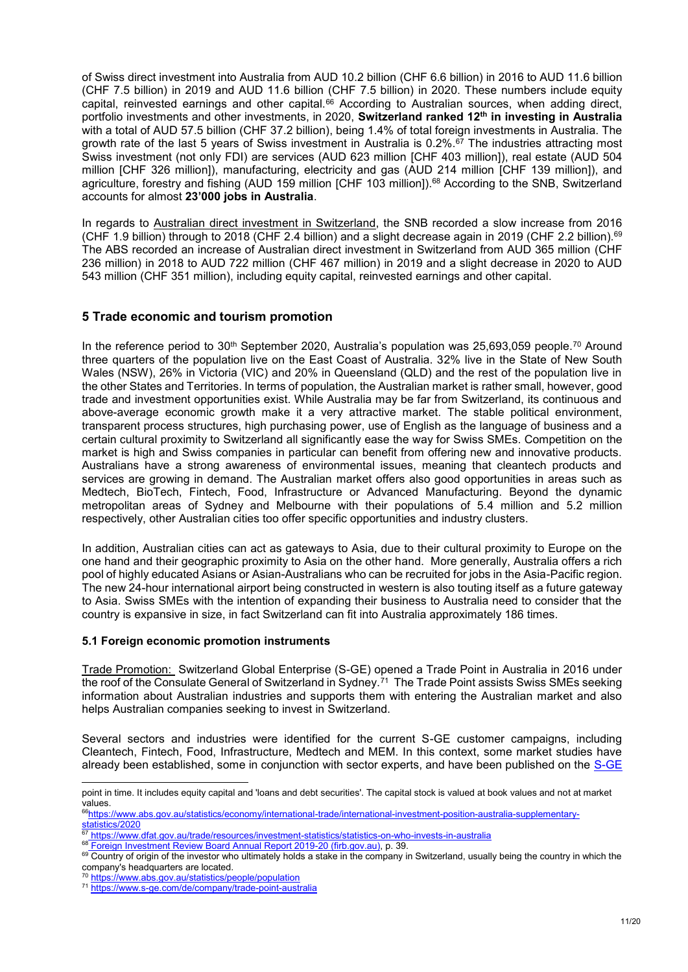of Swiss direct investment into Australia from AUD 10.2 billion (CHF 6.6 billion) in 2016 to AUD 11.6 billion (CHF 7.5 billion) in 2019 and AUD 11.6 billion (CHF 7.5 billion) in 2020. These numbers include equity capital, reinvested earnings and other capital.<sup>66</sup> According to Australian sources, when adding direct, portfolio investments and other investments, in 2020, **Switzerland ranked 12th in investing in Australia** with a total of AUD 57.5 billion (CHF 37.2 billion), being 1.4% of total foreign investments in Australia. The growth rate of the last 5 years of Swiss investment in Australia is  $0.2\%$ .<sup>67</sup> The industries attracting most Swiss investment (not only FDI) are services (AUD 623 million [CHF 403 million]), real estate (AUD 504 million [CHF 326 million]), manufacturing, electricity and gas (AUD 214 million [CHF 139 million]), and agriculture, forestry and fishing (AUD 159 million [CHF 103 million]).<sup>68</sup> According to the SNB, Switzerland accounts for almost **23'000 jobs in Australia**.

In regards to Australian direct investment in Switzerland, the SNB recorded a slow increase from 2016 (CHF 1.9 billion) through to 2018 (CHF 2.4 billion) and a slight decrease again in 2019 (CHF 2.2 billion).<sup>69</sup> The ABS recorded an increase of Australian direct investment in Switzerland from AUD 365 million (CHF 236 million) in 2018 to AUD 722 million (CHF 467 million) in 2019 and a slight decrease in 2020 to AUD 543 million (CHF 351 million), including equity capital, reinvested earnings and other capital.

# **5 Trade economic and tourism promotion**

In the reference period to  $30<sup>th</sup>$  September 2020, Australia's population was 25,693,059 people.<sup>70</sup> Around three quarters of the population live on the East Coast of Australia. 32% live in the State of New South Wales (NSW), 26% in Victoria (VIC) and 20% in Queensland (QLD) and the rest of the population live in the other States and Territories. In terms of population, the Australian market is rather small, however, good trade and investment opportunities exist. While Australia may be far from Switzerland, its continuous and above-average economic growth make it a very attractive market. The stable political environment, transparent process structures, high purchasing power, use of English as the language of business and a certain cultural proximity to Switzerland all significantly ease the way for Swiss SMEs. Competition on the market is high and Swiss companies in particular can benefit from offering new and innovative products. Australians have a strong awareness of environmental issues, meaning that cleantech products and services are growing in demand. The Australian market offers also good opportunities in areas such as Medtech, BioTech, Fintech, Food, Infrastructure or Advanced Manufacturing. Beyond the dynamic metropolitan areas of Sydney and Melbourne with their populations of 5.4 million and 5.2 million respectively, other Australian cities too offer specific opportunities and industry clusters.

In addition, Australian cities can act as gateways to Asia, due to their cultural proximity to Europe on the one hand and their geographic proximity to Asia on the other hand. More generally, Australia offers a rich pool of highly educated Asians or Asian-Australians who can be recruited for jobs in the Asia-Pacific region. The new 24-hour international airport being constructed in western is also touting itself as a future gateway to Asia. Swiss SMEs with the intention of expanding their business to Australia need to consider that the country is expansive in size, in fact Switzerland can fit into Australia approximately 186 times.

#### **5.1 Foreign economic promotion instruments**

Trade Promotion: Switzerland Global Enterprise (S-GE) opened a Trade Point in Australia in 2016 under the roof of the Consulate General of Switzerland in Sydney. $^{71}$  The Trade Point assists Swiss SMEs seeking information about Australian industries and supports them with entering the Australian market and also helps Australian companies seeking to invest in Switzerland.

Several sectors and industries were identified for the current S-GE customer campaigns, including Cleantech, Fintech, Food, Infrastructure, Medtech and MEM. In this context, some market studies have already been established, some in conjunction with sector experts, and have been published on the [S-GE](https://www.s-ge.com/en/articles?field_business_units_target_id%5B0%5D=23&field_countries_target_id%5B0%5D=79) 

point in time. It includes equity capital and 'loans and debt securities'. The capital stock is valued at book values and not at market values.

<sup>66</sup>[https://www.abs.gov.au/statistics/economy/international-trade/international-investment-position-australia-supplementary-](https://www.abs.gov.au/statistics/economy/international-trade/international-investment-position-australia-supplementary-statistics/2020) $\frac{\overbrace{\text{statistics}}/2020}{67.67}$ 

<sup>67</sup> <https://www.dfat.gov.au/trade/resources/investment-statistics/statistics-on-who-invests-in-australia>

<sup>68</sup> [Foreign Investment Review Board Annual Report 2019-20 \(firb.gov.au\),](https://firb.gov.au/sites/firb.gov.au/files/2021-06/FIRB2019-20AnnualReport.pdf) p. 39.

<sup>&</sup>lt;sup>69</sup> Country of origin of the investor who ultimately holds a stake in the company in Switzerland, usually being the country in which the company's headquarters are located.

<sup>70</sup> <https://www.abs.gov.au/statistics/people/population>

<sup>71</sup> <https://www.s-ge.com/de/company/trade-point-australia>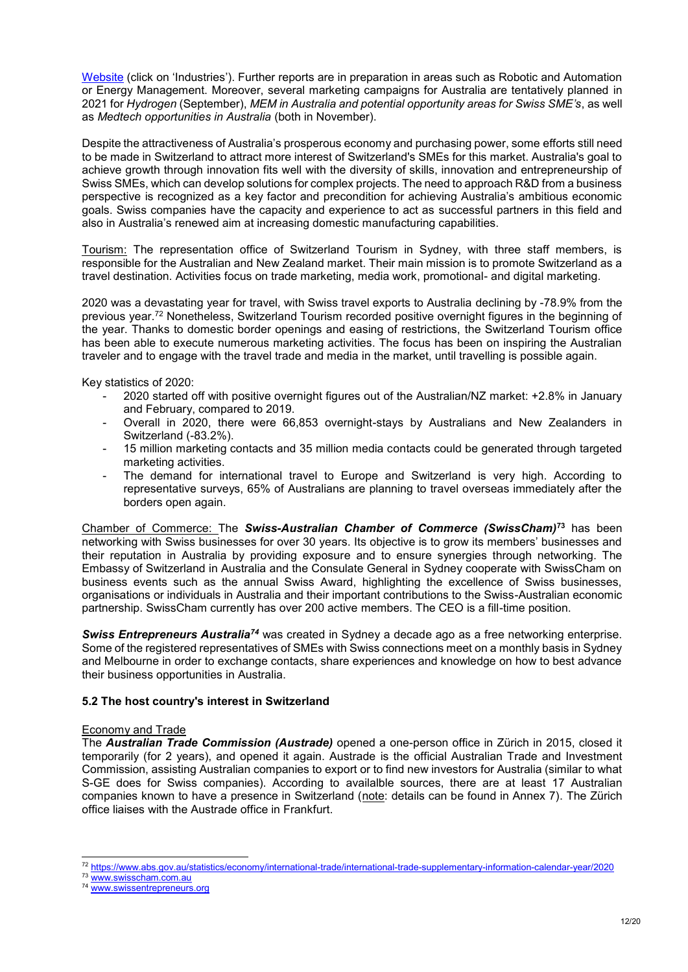[Website](https://www.s-ge.com/en/articles?field_business_units_target_id%5B0%5D=23&field_countries_target_id%5B0%5D=79) (click on 'Industries'). Further reports are in preparation in areas such as Robotic and Automation or Energy Management. Moreover, several marketing campaigns for Australia are tentatively planned in 2021 for *Hydrogen* (September), *MEM in Australia and potential opportunity areas for Swiss SME's*, as well as *Medtech opportunities in Australia* (both in November).

Despite the attractiveness of Australia's prosperous economy and purchasing power, some efforts still need to be made in Switzerland to attract more interest of Switzerland's SMEs for this market. Australia's goal to achieve growth through innovation fits well with the diversity of skills, innovation and entrepreneurship of Swiss SMEs, which can develop solutions for complex projects. The need to approach R&D from a business perspective is recognized as a key factor and precondition for achieving Australia's ambitious economic goals. Swiss companies have the capacity and experience to act as successful partners in this field and also in Australia's renewed aim at increasing domestic manufacturing capabilities.

Tourism: The representation office of Switzerland Tourism in Sydney, with three staff members, is responsible for the Australian and New Zealand market. Their main mission is to promote Switzerland as a travel destination. Activities focus on trade marketing, media work, promotional- and digital marketing.

2020 was a devastating year for travel, with Swiss travel exports to Australia declining by -78.9% from the previous year.<sup>72</sup> Nonetheless, Switzerland Tourism recorded positive overnight figures in the beginning of the year. Thanks to domestic border openings and easing of restrictions, the Switzerland Tourism office has been able to execute numerous marketing activities. The focus has been on inspiring the Australian traveler and to engage with the travel trade and media in the market, until travelling is possible again.

Key statistics of 2020:

- 2020 started off with positive overnight figures out of the Australian/NZ market: +2.8% in January and February, compared to 2019.
- Overall in 2020, there were 66,853 overnight-stays by Australians and New Zealanders in Switzerland (-83.2%).
- 15 million marketing contacts and 35 million media contacts could be generated through targeted marketing activities.
- The demand for international travel to Europe and Switzerland is very high. According to representative surveys, 65% of Australians are planning to travel overseas immediately after the borders open again.

Chamber of Commerce: The *Swiss-Australian Chamber of Commerce (SwissCham)***<sup>73</sup>** has been networking with Swiss businesses for over 30 years. Its objective is to grow its members' businesses and their reputation in Australia by providing exposure and to ensure synergies through networking. The Embassy of Switzerland in Australia and the Consulate General in Sydney cooperate with SwissCham on business events such as the annual Swiss Award, highlighting the excellence of Swiss businesses, organisations or individuals in Australia and their important contributions to the Swiss-Australian economic partnership. SwissCham currently has over 200 active members. The CEO is a fill-time position.

*Swiss Entrepreneurs Australia<sup>74</sup>* was created in Sydney a decade ago as a free networking enterprise. Some of the registered representatives of SMEs with Swiss connections meet on a monthly basis in Sydney and Melbourne in order to exchange contacts, share experiences and knowledge on how to best advance their business opportunities in Australia.

### **5.2 The host country's interest in Switzerland**

### Economy and Trade

The *Australian Trade Commission (Austrade)* opened a one-person office in Zürich in 2015, closed it temporarily (for 2 years), and opened it again. Austrade is the official Australian Trade and Investment Commission, assisting Australian companies to export or to find new investors for Australia (similar to what S-GE does for Swiss companies). According to availalble sources, there are at least 17 Australian companies known to have a presence in Switzerland (note: details can be found in Annex 7). The Zürich office liaises with the Austrade office in Frankfurt.

l <sup>72</sup> <https://www.abs.gov.au/statistics/economy/international-trade/international-trade-supplementary-information-calendar-year/2020>

<sup>73</sup> [www.swisscham.com.au](http://www.swisscham.com.au/)

<sup>74</sup> [www.swissentrepreneurs.org](http://www.swissentrepreneurs.org/)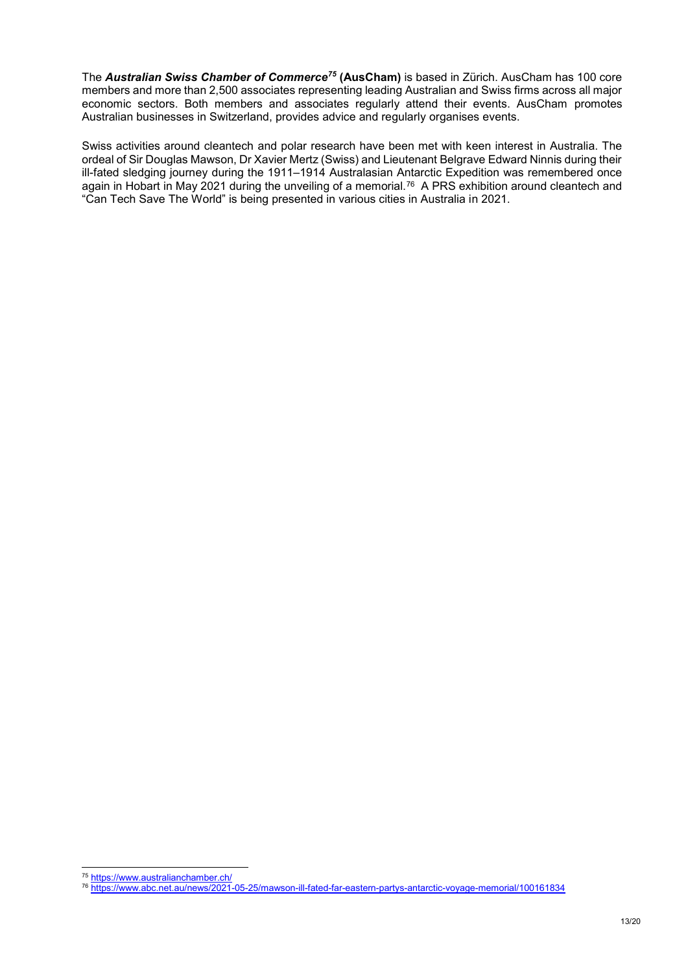The *Australian Swiss Chamber of Commerce<sup>75</sup>* **(AusCham)** is based in Zürich. AusCham has 100 core members and more than 2,500 associates representing leading Australian and Swiss firms across all major economic sectors. Both members and associates regularly attend their events. AusCham promotes Australian businesses in Switzerland, provides advice and regularly organises events.

Swiss activities around cleantech and polar research have been met with keen interest in Australia. The ordeal of Sir Douglas Mawson, Dr Xavier Mertz (Swiss) and Lieutenant Belgrave Edward Ninnis during their ill-fated sledging journey during the 1911–1914 Australasian Antarctic Expedition was remembered once again in Hobart in May 2021 during the unveiling of a memorial. $^{76}\,$  A PRS exhibition around cleantech and "Can Tech Save The World" is being presented in various cities in Australia in 2021.

l <sup>75</sup> <https://www.australianchamber.ch/>

<sup>76</sup> <https://www.abc.net.au/news/2021-05-25/mawson-ill-fated-far-eastern-partys-antarctic-voyage-memorial/100161834>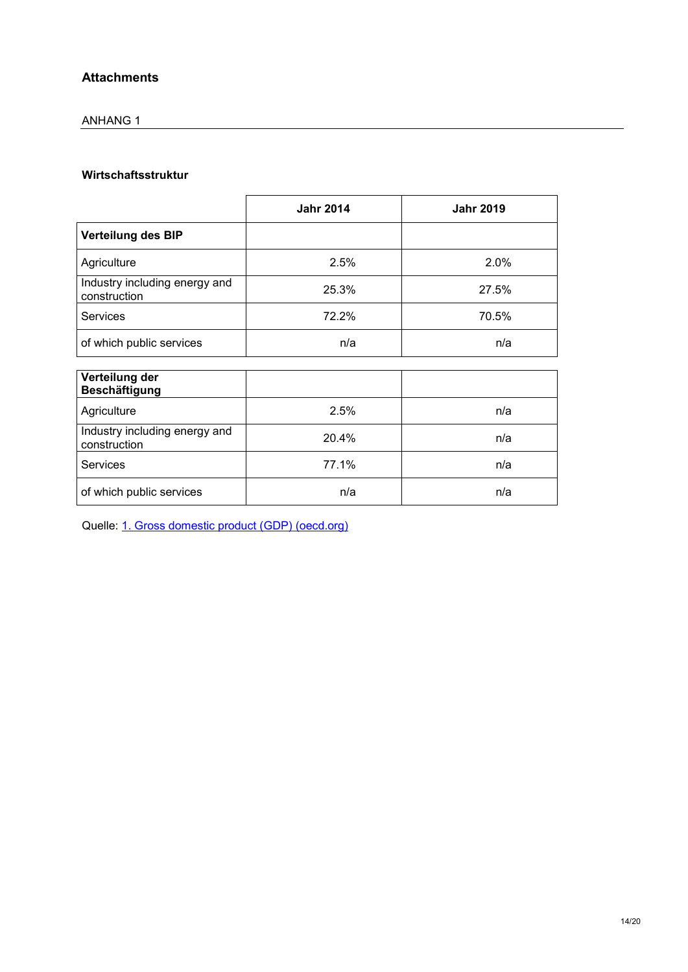# **Attachments**

# ANHANG 1

# **Wirtschaftsstruktur**

|                                               | <b>Jahr 2014</b> | <b>Jahr 2019</b> |
|-----------------------------------------------|------------------|------------------|
| Verteilung des BIP                            |                  |                  |
| Agriculture                                   | 2.5%             | 2.0%             |
| Industry including energy and<br>construction | 25.3%            | 27.5%            |
| <b>Services</b>                               | 72.2%            | 70.5%            |
| of which public services                      | n/a              | n/a              |
| Verteilung der<br><b>Beschäftigung</b>        |                  |                  |
| Agriculture                                   | 2.5%             | n/a              |
| Industry including energy and<br>construction | 20.4%            | n/a              |
| <b>Services</b>                               | 77.1%            | n/a              |
| of which public services                      | n/a              | n/a              |

Quelle: [1. Gross domestic product \(GDP\) \(oecd.org\)](https://stats.oecd.org/Index.aspx?DatasetCode=SNA_TABLE1)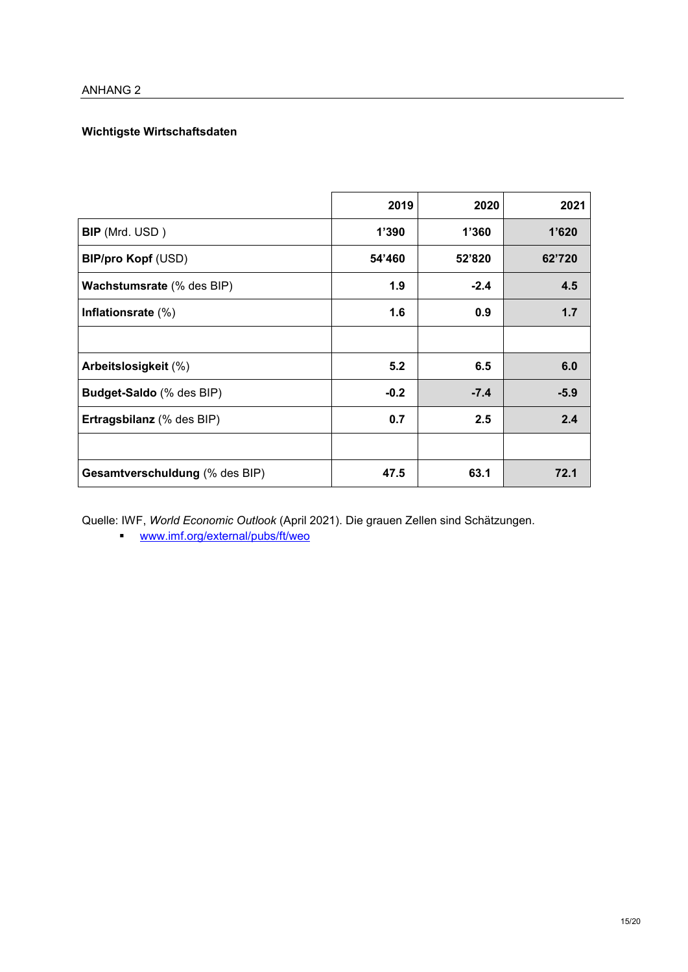# **Wichtigste Wirtschaftsdaten**

|                                  | 2019   | 2020   | 2021   |
|----------------------------------|--------|--------|--------|
| <b>BIP</b> (Mrd. USD)            | 1'390  | 1'360  | 1'620  |
| <b>BIP/pro Kopf (USD)</b>        | 54'460 | 52'820 | 62'720 |
| <b>Wachstumsrate</b> (% des BIP) | 1.9    | $-2.4$ | 4.5    |
| Inflationsrate $(\%)$            | 1.6    | 0.9    | 1.7    |
|                                  |        |        |        |
| Arbeitslosigkeit (%)             | 5.2    | 6.5    | 6.0    |
| <b>Budget-Saldo</b> (% des BIP)  | $-0.2$ | $-7.4$ | $-5.9$ |
| Ertragsbilanz (% des BIP)        | 0.7    | 2.5    | 2.4    |
|                                  |        |        |        |
| Gesamtverschuldung (% des BIP)   | 47.5   | 63.1   | 72.1   |

Quelle: IWF, *World Economic Outlook* (April 2021). Die grauen Zellen sind Schätzungen.

[www.imf.org/external/pubs/ft/weo](http://www.imf.org/external/pubs/ft/weo/2008/02/weodata/index.aspx)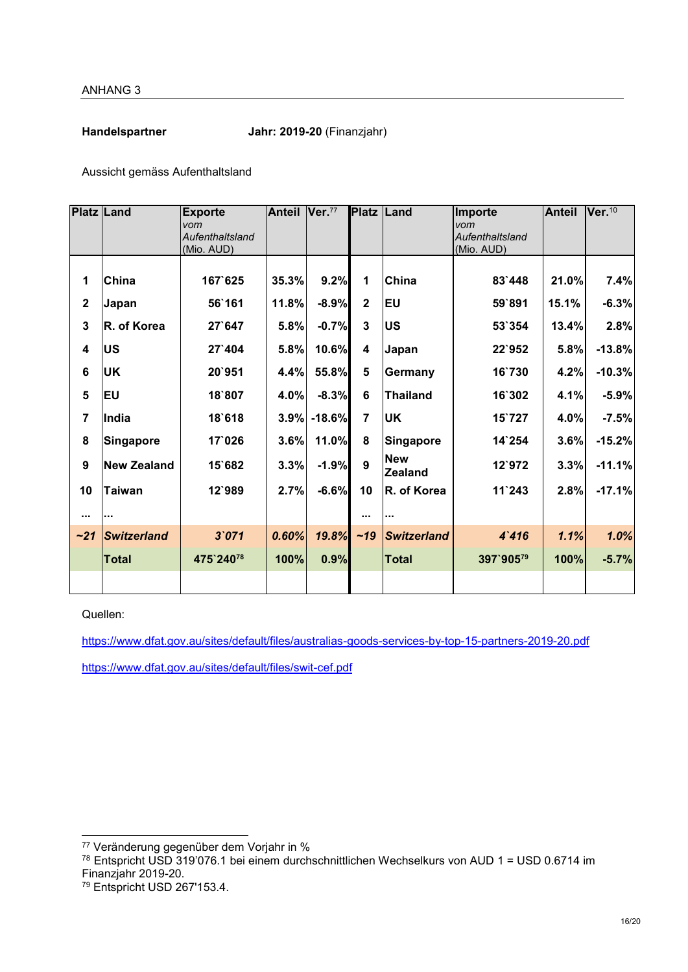**Handelspartner Jahr: 2019-20** (Finanzjahr)

Aussicht gemäss Aufenthaltsland

| <b>Platz Land</b>       |                    | <b>Exporte</b>         | Anteil Ver.77 |          | <b>Platz Land</b> |                              | Importe                | <b>Anteil</b> | Ver <sub>.10</sub> |
|-------------------------|--------------------|------------------------|---------------|----------|-------------------|------------------------------|------------------------|---------------|--------------------|
|                         |                    | vom<br>Aufenthaltsland |               |          |                   |                              | vom<br>Aufenthaltsland |               |                    |
|                         |                    | (Mio. AUD)             |               |          |                   |                              | (Mio. AUD)             |               |                    |
|                         |                    |                        |               |          |                   |                              |                        |               |                    |
| 1                       | China              | 167`625                | 35.3%         | 9.2%     | 1                 | China                        | 83`448                 | 21.0%         | 7.4%               |
| $\overline{\mathbf{2}}$ | Japan              | 56`161                 | 11.8%         | $-8.9%$  | $\mathbf{2}$      | <b>EU</b>                    | 59`891                 | 15.1%         | $-6.3%$            |
| 3                       | R. of Korea        | 27`647                 | 5.8%          | $-0.7%$  | $\mathbf{3}$      | <b>US</b>                    | 53`354                 | 13.4%         | 2.8%               |
| 4                       | <b>US</b>          | 27`404                 | 5.8%          | 10.6%    | 4                 | Japan                        | 22`952                 | 5.8%          | $-13.8%$           |
| 6                       | <b>UK</b>          | 20`951                 | 4.4%          | 55.8%    | 5                 | Germany                      | 16`730                 | 4.2%          | $-10.3%$           |
| 5                       | <b>EU</b>          | 18`807                 | 4.0%          | $-8.3%$  | 6                 | <b>Thailand</b>              | 16`302                 | 4.1%          | $-5.9%$            |
| $\overline{7}$          | India              | 18`618                 | 3.9%          | $-18.6%$ | $\overline{7}$    | <b>UK</b>                    | 15`727                 | 4.0%          | $-7.5%$            |
| 8                       | <b>Singapore</b>   | 17`026                 | 3.6%          | 11.0%    | 8                 | Singapore                    | 14`254                 | 3.6%          | $-15.2%$           |
| $\boldsymbol{9}$        | <b>New Zealand</b> | 15`682                 | 3.3%          | $-1.9%$  | 9                 | <b>New</b><br><b>Zealand</b> | 12`972                 | 3.3%          | $-11.1%$           |
| 10                      | <b>Taiwan</b>      | 12`989                 | 2.7%          | $-6.6%$  | 10                | R. of Korea                  | $11^{\circ}243$        | 2.8%          | $-17.1%$           |
| $\cdots$                |                    |                        |               |          |                   |                              |                        |               |                    |
| ~21                     | <b>Switzerland</b> | 3'071                  | 0.60%         | 19.8%    | ~19               | <b>Switzerland</b>           | 4'416                  | 1.1%          | 1.0%               |
|                         | <b>Total</b>       | 475`24078              | 100%          | 0.9%     |                   | <b>Total</b>                 | 397`90579              | 100%          | $-5.7%$            |
|                         |                    |                        |               |          |                   |                              |                        |               |                    |

Quellen:

l

<https://www.dfat.gov.au/sites/default/files/australias-goods-services-by-top-15-partners-2019-20.pdf>

<https://www.dfat.gov.au/sites/default/files/swit-cef.pdf>

<sup>77</sup> Veränderung gegenüber dem Vorjahr in %

<sup>78</sup> Entspricht USD 319'076.1 bei einem durchschnittlichen Wechselkurs von AUD 1 = USD 0.6714 im Finanzjahr 2019-20.

<sup>79</sup> Entspricht USD 267'153.4.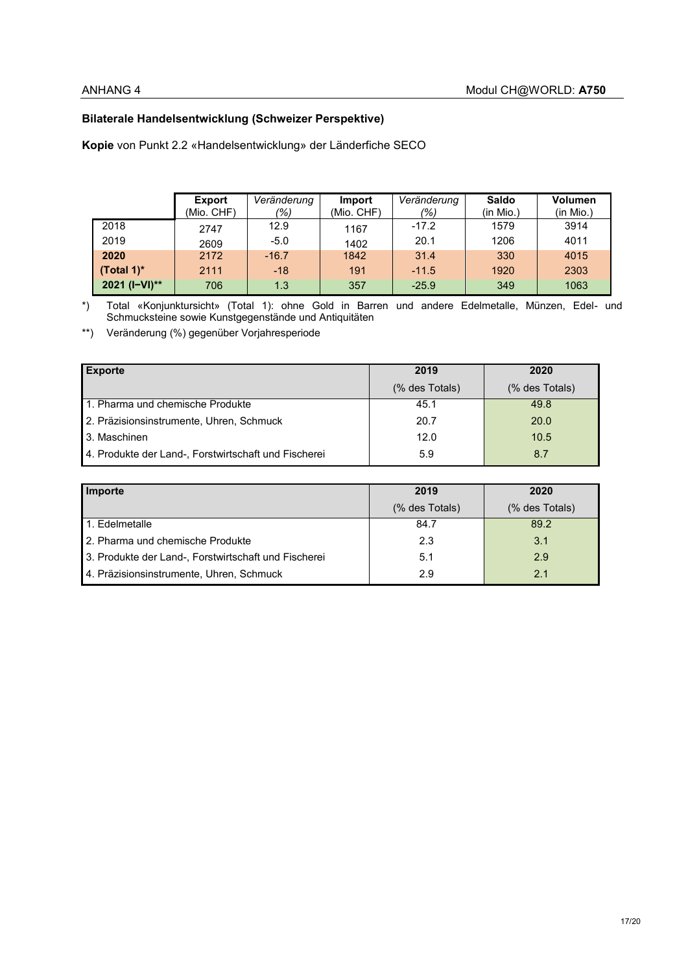# **Bilaterale Handelsentwicklung (Schweizer Perspektive)**

**Kopie** von Punkt 2.2 «Handelsentwicklung» der Länderfiche SECO

|               | <b>Export</b> | Veränderung | <b>Import</b> | Veränderung | Saldo     | <b>Volumen</b> |
|---------------|---------------|-------------|---------------|-------------|-----------|----------------|
|               | (Mio. CHF)    | (%)         | (Mio. CHF)    | (%)         | (in Mio.) | (in Mio.)      |
| 2018          | 2747          | 12.9        | 1167          | $-17.2$     | 1579      | 3914           |
| 2019          | 2609          | $-5.0$      | 1402          | 20.1        | 1206      | 4011           |
| 2020          | 2172          | $-16.7$     | 1842          | 31.4        | 330       | 4015           |
| (Total 1) $*$ | 2111          | $-18$       | 191           | $-11.5$     | 1920      | 2303           |
| 2021 (I-VI)** | 706           | 1.3         | 357           | $-25.9$     | 349       | 1063           |

\*) Total «Konjunktursicht» (Total 1): ohne Gold in Barren und andere Edelmetalle, Münzen, Edel- und Schmucksteine sowie Kunstgegenstände und Antiquitäten

\*\*) Veränderung (%) gegenüber Vorjahresperiode

| <b>Exporte</b>                                       | 2019            | 2020           |
|------------------------------------------------------|-----------------|----------------|
|                                                      | $%$ des Totals) | (% des Totals) |
| <b>1. Pharma und chemische Produkte</b>              | 45.1            | 49.8           |
| 2. Präzisionsinstrumente, Uhren, Schmuck             | 20.7            | <b>20.0</b>    |
| 3. Maschinen                                         | 12.0            | 10.5           |
| 4. Produkte der Land-, Forstwirtschaft und Fischerei | 5.9             | 8.7            |

| Importe                                              | 2019           | 2020           |  |
|------------------------------------------------------|----------------|----------------|--|
|                                                      | (% des Totals) | (% des Totals) |  |
| 1. Edelmetalle                                       | 84.7           | 89.2           |  |
| 2. Pharma und chemische Produkte                     | 2.3            | 3.1            |  |
| 3. Produkte der Land-, Forstwirtschaft und Fischerei | 5.1            | 29             |  |
| 4. Präzisionsinstrumente, Uhren, Schmuck             | 2.9            | 2.1            |  |